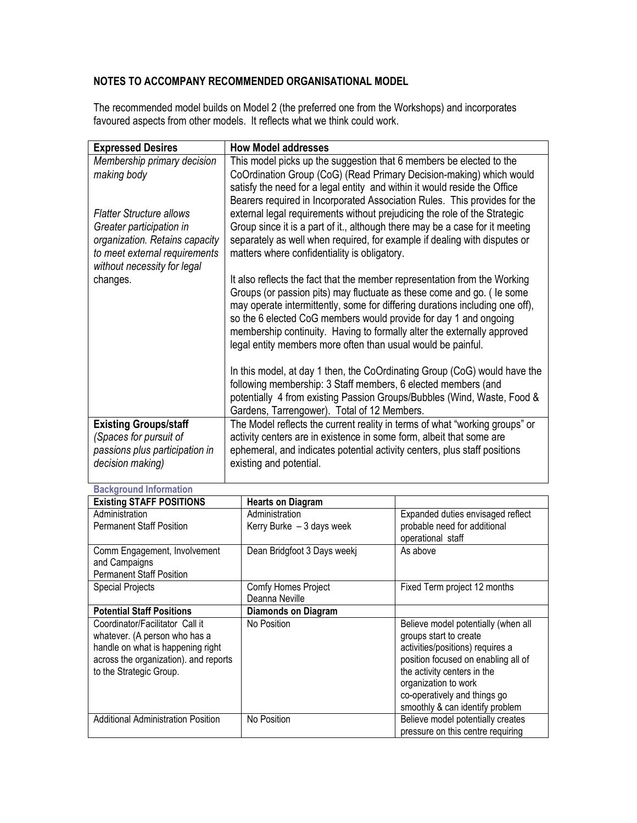## NOTES TO ACCOMPANY RECOMMENDED ORGANISATIONAL MODEL

The recommended model builds on Model 2 (the preferred one from the Workshops) and incorporates favoured aspects from other models. It reflects what we think could work.

| <b>Expressed Desires</b>                                                                                                                                      | <b>How Model addresses</b>                                                                                                                                                                                                                                                                                                                                                                                                                         |
|---------------------------------------------------------------------------------------------------------------------------------------------------------------|----------------------------------------------------------------------------------------------------------------------------------------------------------------------------------------------------------------------------------------------------------------------------------------------------------------------------------------------------------------------------------------------------------------------------------------------------|
| Membership primary decision<br>making body                                                                                                                    | This model picks up the suggestion that 6 members be elected to the<br>CoOrdination Group (CoG) (Read Primary Decision-making) which would<br>satisfy the need for a legal entity and within it would reside the Office                                                                                                                                                                                                                            |
| <b>Flatter Structure allows</b><br>Greater participation in<br>organization. Retains capacity<br>to meet external requirements<br>without necessity for legal | Bearers required in Incorporated Association Rules. This provides for the<br>external legal requirements without prejudicing the role of the Strategic<br>Group since it is a part of it., although there may be a case for it meeting<br>separately as well when required, for example if dealing with disputes or<br>matters where confidentiality is obligatory.                                                                                |
| changes.                                                                                                                                                      | It also reflects the fact that the member representation from the Working<br>Groups (or passion pits) may fluctuate as these come and go. ( le some<br>may operate intermittently, some for differing durations including one off),<br>so the 6 elected CoG members would provide for day 1 and ongoing<br>membership continuity. Having to formally alter the externally approved<br>legal entity members more often than usual would be painful. |
|                                                                                                                                                               | In this model, at day 1 then, the CoOrdinating Group (CoG) would have the<br>following membership: 3 Staff members, 6 elected members (and<br>potentially 4 from existing Passion Groups/Bubbles (Wind, Waste, Food &<br>Gardens, Tarrengower). Total of 12 Members.                                                                                                                                                                               |
| <b>Existing Groups/staff</b><br>(Spaces for pursuit of<br>passions plus participation in<br>decision making)                                                  | The Model reflects the current reality in terms of what "working groups" or<br>activity centers are in existence in some form, albeit that some are<br>ephemeral, and indicates potential activity centers, plus staff positions<br>existing and potential.                                                                                                                                                                                        |

| <b>Background Information</b>                                                                                                                                             |                                              |                                                                                                                                                                                                                                                                    |  |
|---------------------------------------------------------------------------------------------------------------------------------------------------------------------------|----------------------------------------------|--------------------------------------------------------------------------------------------------------------------------------------------------------------------------------------------------------------------------------------------------------------------|--|
| <b>Existing STAFF POSITIONS</b>                                                                                                                                           | <b>Hearts on Diagram</b>                     |                                                                                                                                                                                                                                                                    |  |
| Administration<br><b>Permanent Staff Position</b>                                                                                                                         | Administration<br>Kerry Burke $-3$ days week | Expanded duties envisaged reflect<br>probable need for additional<br>operational staff                                                                                                                                                                             |  |
| Comm Engagement, Involvement<br>and Campaigns<br><b>Permanent Staff Position</b>                                                                                          | Dean Bridgfoot 3 Days weekj                  | As above                                                                                                                                                                                                                                                           |  |
| <b>Special Projects</b>                                                                                                                                                   | Comfy Homes Project<br>Deanna Neville        | Fixed Term project 12 months                                                                                                                                                                                                                                       |  |
| <b>Potential Staff Positions</b>                                                                                                                                          | <b>Diamonds on Diagram</b>                   |                                                                                                                                                                                                                                                                    |  |
| Coordinator/Facilitator Call it<br>whatever. (A person who has a<br>handle on what is happening right<br>across the organization). and reports<br>to the Strategic Group. | No Position                                  | Believe model potentially (when all<br>groups start to create<br>activities/positions) requires a<br>position focused on enabling all of<br>the activity centers in the<br>organization to work<br>co-operatively and things go<br>smoothly & can identify problem |  |
| <b>Additional Administration Position</b>                                                                                                                                 | No Position                                  | Believe model potentially creates<br>pressure on this centre requiring                                                                                                                                                                                             |  |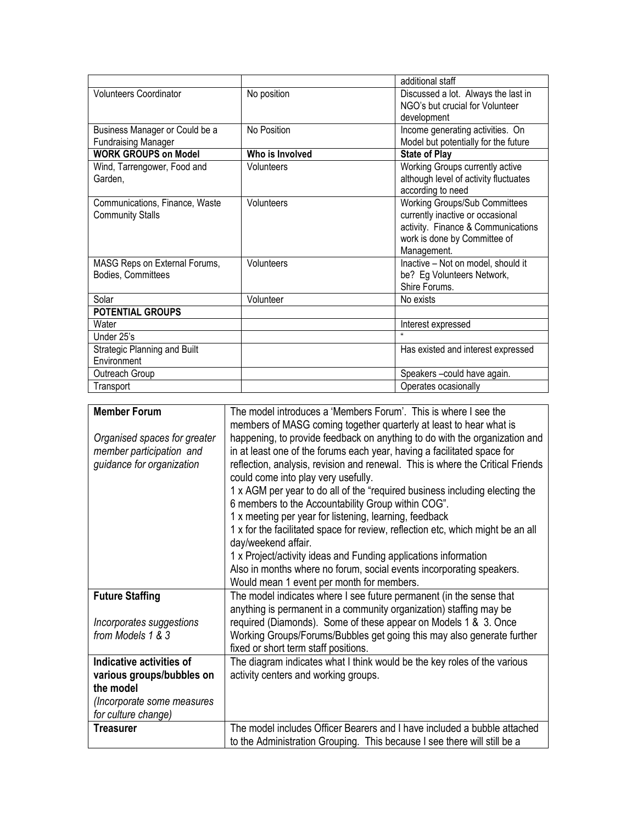|                                |                 | additional staff                      |
|--------------------------------|-----------------|---------------------------------------|
| <b>Volunteers Coordinator</b>  | No position     | Discussed a lot. Always the last in   |
|                                |                 | NGO's but crucial for Volunteer       |
|                                |                 | development                           |
| Business Manager or Could be a | No Position     | Income generating activities. On      |
| <b>Fundraising Manager</b>     |                 | Model but potentially for the future  |
| <b>WORK GROUPS on Model</b>    | Who is Involved | <b>State of Play</b>                  |
| Wind, Tarrengower, Food and    | Volunteers      | Working Groups currently active       |
| Garden,                        |                 | although level of activity fluctuates |
|                                |                 | according to need                     |
| Communications, Finance, Waste | Volunteers      | <b>Working Groups/Sub Committees</b>  |
| <b>Community Stalls</b>        |                 | currently inactive or occasional      |
|                                |                 | activity. Finance & Communications    |
|                                |                 | work is done by Committee of          |
|                                |                 | Management.                           |
| MASG Reps on External Forums,  | Volunteers      | Inactive - Not on model, should it    |
| Bodies, Committees             |                 | be? Eg Volunteers Network,            |
|                                |                 | Shire Forums.                         |
| Solar                          | Volunteer       | No exists                             |
| <b>POTENTIAL GROUPS</b>        |                 |                                       |
| Water                          |                 | Interest expressed                    |
| Under 25's                     |                 |                                       |
| Strategic Planning and Built   |                 | Has existed and interest expressed    |
| Environment                    |                 |                                       |
| Outreach Group                 |                 | Speakers-could have again.            |
| Transport                      |                 | Operates ocasionally                  |

| <b>Member Forum</b>                                                                   | The model introduces a 'Members Forum'. This is where I see the<br>members of MASG coming together quarterly at least to hear what is                                                                                                                                                                                                                                                                                                                                                                                                                                                                                                                                                                                              |
|---------------------------------------------------------------------------------------|------------------------------------------------------------------------------------------------------------------------------------------------------------------------------------------------------------------------------------------------------------------------------------------------------------------------------------------------------------------------------------------------------------------------------------------------------------------------------------------------------------------------------------------------------------------------------------------------------------------------------------------------------------------------------------------------------------------------------------|
| Organised spaces for greater<br>member participation and<br>guidance for organization | happening, to provide feedback on anything to do with the organization and<br>in at least one of the forums each year, having a facilitated space for<br>reflection, analysis, revision and renewal. This is where the Critical Friends<br>could come into play very usefully.<br>1 x AGM per year to do all of the "required business including electing the<br>6 members to the Accountability Group within COG".<br>1 x meeting per year for listening, learning, feedback<br>1 x for the facilitated space for review, reflection etc, which might be an all<br>day/weekend affair.<br>1 x Project/activity ideas and Funding applications information<br>Also in months where no forum, social events incorporating speakers. |
| <b>Future Staffing</b>                                                                | Would mean 1 event per month for members.<br>The model indicates where I see future permanent (in the sense that                                                                                                                                                                                                                                                                                                                                                                                                                                                                                                                                                                                                                   |
| Incorporates suggestions<br>from Models 1 & 3                                         | anything is permanent in a community organization) staffing may be<br>required (Diamonds). Some of these appear on Models 1 & 3. Once<br>Working Groups/Forums/Bubbles get going this may also generate further<br>fixed or short term staff positions.                                                                                                                                                                                                                                                                                                                                                                                                                                                                            |
| Indicative activities of                                                              | The diagram indicates what I think would be the key roles of the various                                                                                                                                                                                                                                                                                                                                                                                                                                                                                                                                                                                                                                                           |
| various groups/bubbles on<br>the model                                                | activity centers and working groups.                                                                                                                                                                                                                                                                                                                                                                                                                                                                                                                                                                                                                                                                                               |
| (Incorporate some measures                                                            |                                                                                                                                                                                                                                                                                                                                                                                                                                                                                                                                                                                                                                                                                                                                    |
| for culture change)                                                                   |                                                                                                                                                                                                                                                                                                                                                                                                                                                                                                                                                                                                                                                                                                                                    |
| <b>Treasurer</b>                                                                      | The model includes Officer Bearers and I have included a bubble attached<br>to the Administration Grouping. This because I see there will still be a                                                                                                                                                                                                                                                                                                                                                                                                                                                                                                                                                                               |